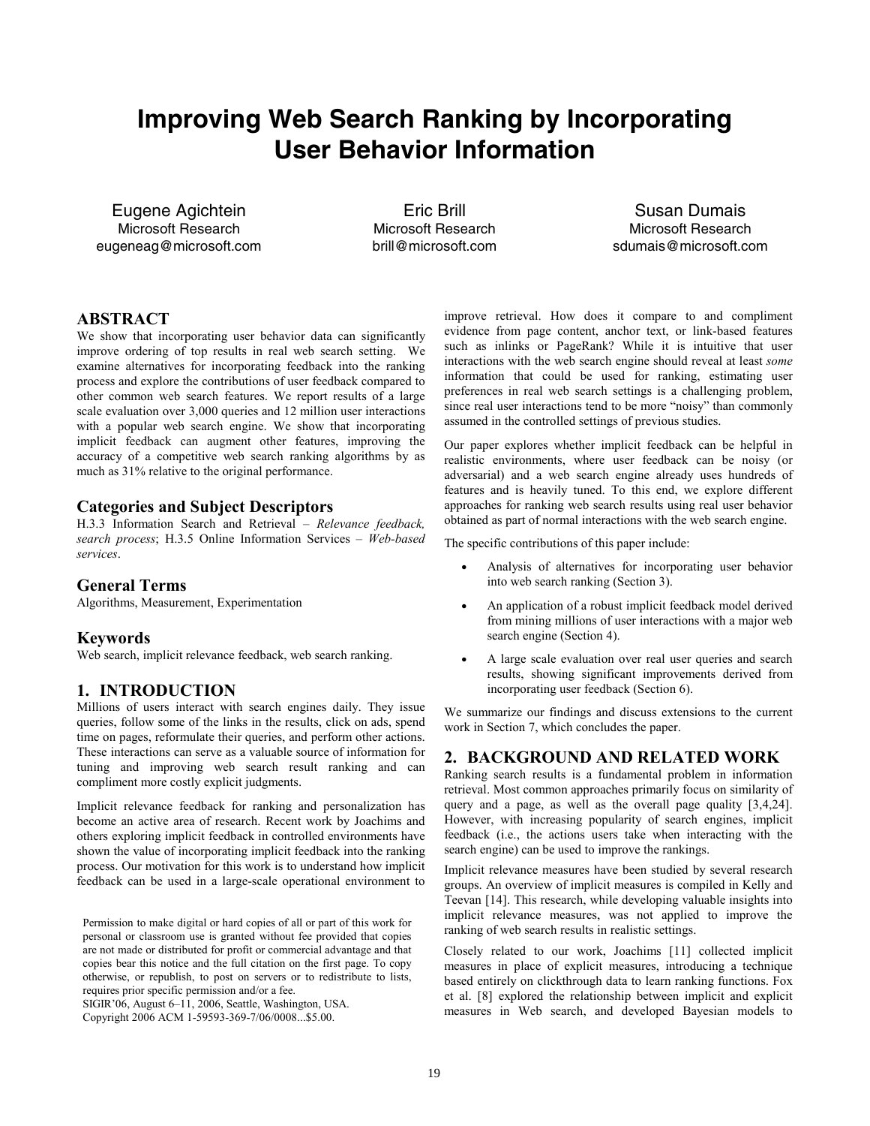# **Improving Web Search Ranking by Incorporating User Behavior Information**

Eugene Agichtein Microsoft Research eugeneag@microsoft.com

Eric Brill Microsoft Research brill@microsoft.com

Susan Dumais Microsoft Research sdumais@microsoft.com

# **ABSTRACT**

We show that incorporating user behavior data can significantly improve ordering of top results in real web search setting. We examine alternatives for incorporating feedback into the ranking process and explore the contributions of user feedback compared to other common web search features. We report results of a large scale evaluation over 3,000 queries and 12 million user interactions with a popular web search engine. We show that incorporating implicit feedback can augment other features, improving the accuracy of a competitive web search ranking algorithms by as much as 31% relative to the original performance.

#### **Categories and Subject Descriptors**

H.3.3 Information Search and Retrieval – *Relevance feedback, search process*; H.3.5 Online Information Services – *Web-based services*.

## **General Terms**

Algorithms, Measurement, Experimentation

#### **Keywords**

Web search, implicit relevance feedback, web search ranking.

#### **1. INTRODUCTION**

Millions of users interact with search engines daily. They issue queries, follow some of the links in the results, click on ads, spend time on pages, reformulate their queries, and perform other actions. These interactions can serve as a valuable source of information for tuning and improving web search result ranking and can compliment more costly explicit judgments.

Implicit relevance feedback for ranking and personalization has become an active area of research. Recent work by Joachims and others exploring implicit feedback in controlled environments have shown the value of incorporating implicit feedback into the ranking process. Our motivation for this work is to understand how implicit feedback can be used in a large-scale operational environment to

Permission to make digital or hard copies of all or part of this work for personal or classroom use is granted without fee provided that copies are not made or distributed for profit or commercial advantage and that copies bear this notice and the full citation on the first page. To copy otherwise, or republish, to post on servers or to redistribute to lists, requires prior specific permission and/or a fee.

SIGIR'06, August 6–11, 2006, Seattle, Washington, USA.

Copyright 2006 ACM 1-59593-369-7/06/0008...\$5.00.

improve retrieval. How does it compare to and compliment evidence from page content, anchor text, or link-based features such as inlinks or PageRank? While it is intuitive that user interactions with the web search engine should reveal at least *some* information that could be used for ranking, estimating user preferences in real web search settings is a challenging problem, since real user interactions tend to be more "noisy" than commonly assumed in the controlled settings of previous studies.

Our paper explores whether implicit feedback can be helpful in realistic environments, where user feedback can be noisy (or adversarial) and a web search engine already uses hundreds of features and is heavily tuned. To this end, we explore different approaches for ranking web search results using real user behavior obtained as part of normal interactions with the web search engine.

The specific contributions of this paper include:

- Analysis of alternatives for incorporating user behavior into web search ranking (Section 3).
- An application of a robust implicit feedback model derived from mining millions of user interactions with a major web search engine (Section 4).
- A large scale evaluation over real user queries and search results, showing significant improvements derived from incorporating user feedback (Section 6).

We summarize our findings and discuss extensions to the current work in Section 7, which concludes the paper.

#### **2. BACKGROUND AND RELATED WORK**

Ranking search results is a fundamental problem in information retrieval. Most common approaches primarily focus on similarity of query and a page, as well as the overall page quality [3,4,24]. However, with increasing popularity of search engines, implicit feedback (i.e., the actions users take when interacting with the search engine) can be used to improve the rankings.

Implicit relevance measures have been studied by several research groups. An overview of implicit measures is compiled in Kelly and Teevan [14]. This research, while developing valuable insights into implicit relevance measures, was not applied to improve the ranking of web search results in realistic settings.

Closely related to our work, Joachims [11] collected implicit measures in place of explicit measures, introducing a technique based entirely on clickthrough data to learn ranking functions. Fox et al. [8] explored the relationship between implicit and explicit measures in Web search, and developed Bayesian models to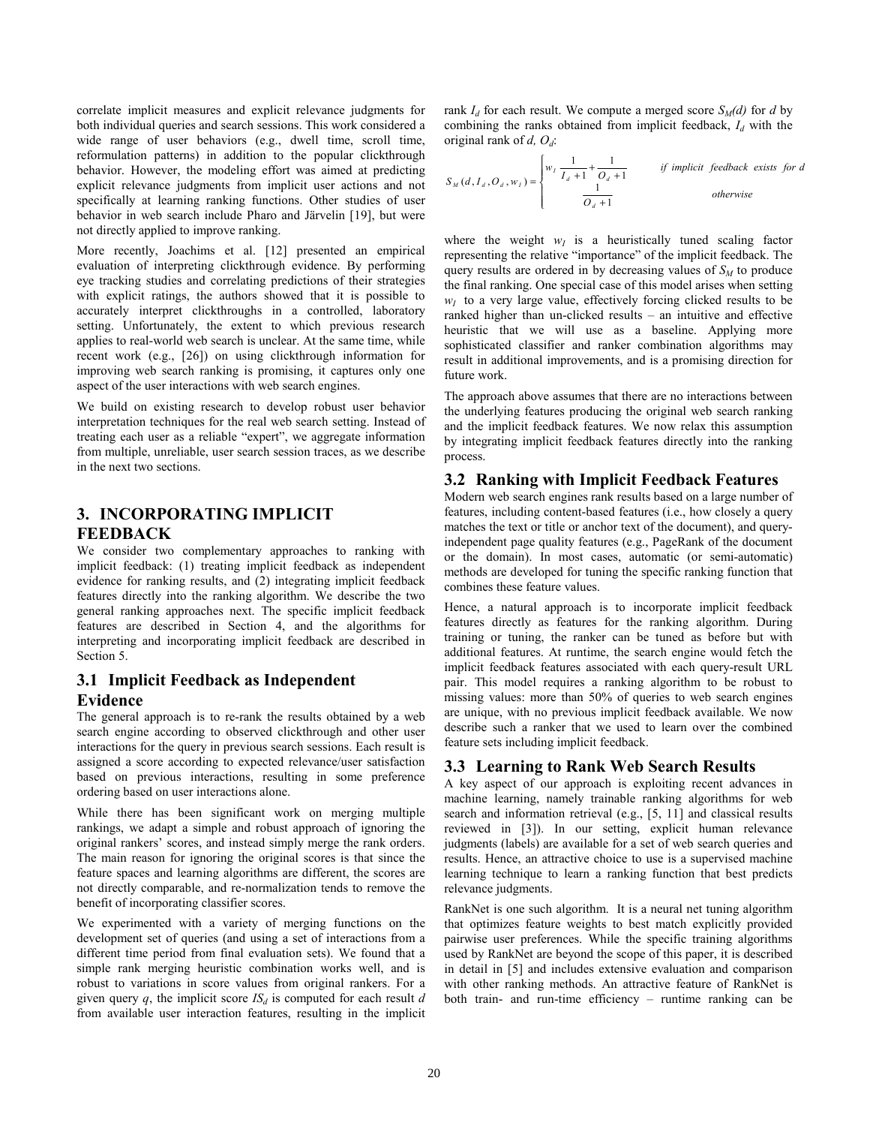correlate implicit measures and explicit relevance judgments for both individual queries and search sessions. This work considered a wide range of user behaviors (e.g., dwell time, scroll time, reformulation patterns) in addition to the popular clickthrough behavior. However, the modeling effort was aimed at predicting explicit relevance judgments from implicit user actions and not specifically at learning ranking functions. Other studies of user behavior in web search include Pharo and Järvelin [19], but were not directly applied to improve ranking.

More recently, Joachims et al. [12] presented an empirical evaluation of interpreting clickthrough evidence. By performing eye tracking studies and correlating predictions of their strategies with explicit ratings, the authors showed that it is possible to accurately interpret clickthroughs in a controlled, laboratory setting. Unfortunately, the extent to which previous research applies to real-world web search is unclear. At the same time, while recent work (e.g., [26]) on using clickthrough information for improving web search ranking is promising, it captures only one aspect of the user interactions with web search engines.

We build on existing research to develop robust user behavior interpretation techniques for the real web search setting. Instead of treating each user as a reliable "expert", we aggregate information from multiple, unreliable, user search session traces, as we describe in the next two sections.

# **3. INCORPORATING IMPLICIT FEEDBACK**

We consider two complementary approaches to ranking with implicit feedback: (1) treating implicit feedback as independent evidence for ranking results, and (2) integrating implicit feedback features directly into the ranking algorithm. We describe the two general ranking approaches next. The specific implicit feedback features are described in Section 4, and the algorithms for interpreting and incorporating implicit feedback are described in Section 5.

# **3.1 Implicit Feedback as Independent Evidence**

The general approach is to re-rank the results obtained by a web search engine according to observed clickthrough and other user interactions for the query in previous search sessions. Each result is assigned a score according to expected relevance/user satisfaction based on previous interactions, resulting in some preference ordering based on user interactions alone.

While there has been significant work on merging multiple rankings, we adapt a simple and robust approach of ignoring the original rankers' scores, and instead simply merge the rank orders. The main reason for ignoring the original scores is that since the feature spaces and learning algorithms are different, the scores are not directly comparable, and re-normalization tends to remove the benefit of incorporating classifier scores.

We experimented with a variety of merging functions on the development set of queries (and using a set of interactions from a different time period from final evaluation sets). We found that a simple rank merging heuristic combination works well, and is robust to variations in score values from original rankers. For a given query  $q$ , the implicit score  $IS_d$  is computed for each result  $d$ from available user interaction features, resulting in the implicit rank  $I_d$  for each result. We compute a merged score  $S_M(d)$  for *d* by combining the ranks obtained from implicit feedback,  $I_d$  with the original rank of *d, Od*:

$$
S_M(d, I_d, O_d, w_1) = \begin{cases} w_1 \frac{1}{I_d + 1} + \frac{1}{O_d + 1} & \text{if implicit feedback exists for } d \\ \frac{1}{O_d + 1} & \text{otherwise} \end{cases}
$$

where the weight  $w_I$  is a heuristically tuned scaling factor representing the relative "importance" of the implicit feedback. The query results are ordered in by decreasing values of  $S<sub>M</sub>$  to produce the final ranking. One special case of this model arises when setting  $w<sub>I</sub>$  to a very large value, effectively forcing clicked results to be ranked higher than un-clicked results – an intuitive and effective heuristic that we will use as a baseline. Applying more sophisticated classifier and ranker combination algorithms may result in additional improvements, and is a promising direction for future work.

The approach above assumes that there are no interactions between the underlying features producing the original web search ranking and the implicit feedback features. We now relax this assumption by integrating implicit feedback features directly into the ranking process.

# **3.2 Ranking with Implicit Feedback Features**

Modern web search engines rank results based on a large number of features, including content-based features (i.e., how closely a query matches the text or title or anchor text of the document), and queryindependent page quality features (e.g., PageRank of the document or the domain). In most cases, automatic (or semi-automatic) methods are developed for tuning the specific ranking function that combines these feature values.

Hence, a natural approach is to incorporate implicit feedback features directly as features for the ranking algorithm. During training or tuning, the ranker can be tuned as before but with additional features. At runtime, the search engine would fetch the implicit feedback features associated with each query-result URL pair. This model requires a ranking algorithm to be robust to missing values: more than 50% of queries to web search engines are unique, with no previous implicit feedback available. We now describe such a ranker that we used to learn over the combined feature sets including implicit feedback.

# **3.3 Learning to Rank Web Search Results**

A key aspect of our approach is exploiting recent advances in machine learning, namely trainable ranking algorithms for web search and information retrieval (e.g., [5, 11] and classical results reviewed in [3]). In our setting, explicit human relevance judgments (labels) are available for a set of web search queries and results. Hence, an attractive choice to use is a supervised machine learning technique to learn a ranking function that best predicts relevance judgments.

RankNet is one such algorithm. It is a neural net tuning algorithm that optimizes feature weights to best match explicitly provided pairwise user preferences. While the specific training algorithms used by RankNet are beyond the scope of this paper, it is described in detail in [5] and includes extensive evaluation and comparison with other ranking methods. An attractive feature of RankNet is both train- and run-time efficiency – runtime ranking can be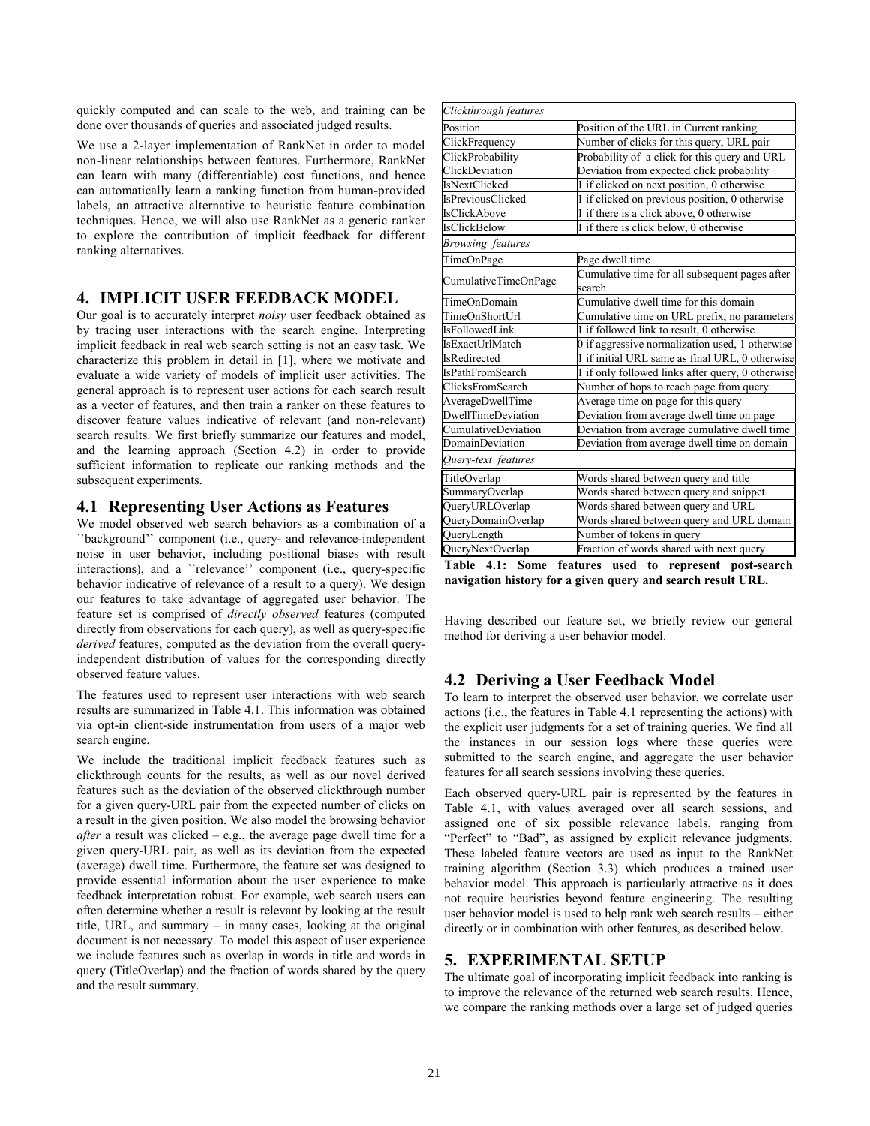quickly computed and can scale to the web, and training can be done over thousands of queries and associated judged results.

We use a 2-layer implementation of RankNet in order to model non-linear relationships between features. Furthermore, RankNet can learn with many (differentiable) cost functions, and hence can automatically learn a ranking function from human-provided labels, an attractive alternative to heuristic feature combination techniques. Hence, we will also use RankNet as a generic ranker to explore the contribution of implicit feedback for different ranking alternatives.

## **4. IMPLICIT USER FEEDBACK MODEL**

Our goal is to accurately interpret *noisy* user feedback obtained as by tracing user interactions with the search engine. Interpreting implicit feedback in real web search setting is not an easy task. We characterize this problem in detail in [1], where we motivate and evaluate a wide variety of models of implicit user activities. The general approach is to represent user actions for each search result as a vector of features, and then train a ranker on these features to discover feature values indicative of relevant (and non-relevant) search results. We first briefly summarize our features and model, and the learning approach (Section 4.2) in order to provide sufficient information to replicate our ranking methods and the subsequent experiments.

# **4.1 Representing User Actions as Features**

We model observed web search behaviors as a combination of a ``background'' component (i.e., query- and relevance-independent noise in user behavior, including positional biases with result interactions), and a ``relevance'' component (i.e., query-specific behavior indicative of relevance of a result to a query). We design our features to take advantage of aggregated user behavior. The feature set is comprised of *directly observed* features (computed directly from observations for each query), as well as query-specific *derived* features, computed as the deviation from the overall queryindependent distribution of values for the corresponding directly observed feature values.

The features used to represent user interactions with web search results are summarized in Table 4.1. This information was obtained via opt-in client-side instrumentation from users of a major web search engine.

We include the traditional implicit feedback features such as clickthrough counts for the results, as well as our novel derived features such as the deviation of the observed clickthrough number for a given query-URL pair from the expected number of clicks on a result in the given position. We also model the browsing behavior *after* a result was clicked – e.g., the average page dwell time for a given query-URL pair, as well as its deviation from the expected (average) dwell time. Furthermore, the feature set was designed to provide essential information about the user experience to make feedback interpretation robust. For example, web search users can often determine whether a result is relevant by looking at the result title, URL, and summary – in many cases, looking at the original document is not necessary. To model this aspect of user experience we include features such as overlap in words in title and words in query (TitleOverlap) and the fraction of words shared by the query and the result summary.

| Clickthrough features    |                                                          |  |  |
|--------------------------|----------------------------------------------------------|--|--|
| Position                 | Position of the URL in Current ranking                   |  |  |
| ClickFrequency           | Number of clicks for this query, URL pair                |  |  |
| ClickProbability         | Probability of a click for this query and URL            |  |  |
| ClickDeviation           | Deviation from expected click probability                |  |  |
| IsNextClicked            | 1 if clicked on next position, 0 otherwise               |  |  |
| <b>IsPreviousClicked</b> | 1 if clicked on previous position, 0 otherwise           |  |  |
| <b>IsClickAbove</b>      | 1 if there is a click above, 0 otherwise                 |  |  |
| <b>IsClickBelow</b>      | 1 if there is click below, 0 otherwise                   |  |  |
| Browsing features        |                                                          |  |  |
| TimeOnPage               | Page dwell time                                          |  |  |
| CumulativeTimeOnPage     | Cumulative time for all subsequent pages after<br>search |  |  |
| TimeOnDomain             | Cumulative dwell time for this domain                    |  |  |
| TimeOnShortUrl           | Cumulative time on URL prefix, no parameters             |  |  |
| IsFollowedLink           | 1 if followed link to result, 0 otherwise                |  |  |
| IsExactUrlMatch          | 0 if aggressive normalization used, 1 otherwise          |  |  |
| <b>IsRedirected</b>      | 1 if initial URL same as final URL, 0 otherwise          |  |  |
| <b>IsPathFromSearch</b>  | 1 if only followed links after query, 0 otherwise        |  |  |
| ClicksFromSearch         | Number of hops to reach page from query                  |  |  |
| AverageDwellTime         | Average time on page for this query                      |  |  |
| DwellTimeDeviation       | Deviation from average dwell time on page                |  |  |
| CumulativeDeviation      | Deviation from average cumulative dwell time             |  |  |
| DomainDeviation          | Deviation from average dwell time on domain              |  |  |
| Query-text features      |                                                          |  |  |
| TitleOverlap             | Words shared between query and title                     |  |  |
| SummaryOverlap           | Words shared between query and snippet                   |  |  |
| QueryURLOverlap          | Words shared between query and URL                       |  |  |
| QueryDomainOverlap       | Words shared between query and URL domain                |  |  |
| QueryLength              | Number of tokens in query                                |  |  |
| QueryNextOverlap         | Fraction of words shared with next query                 |  |  |

**Table 4.1: Some features used to represent post-search navigation history for a given query and search result URL.** 

Having described our feature set, we briefly review our general method for deriving a user behavior model.

# **4.2 Deriving a User Feedback Model**

To learn to interpret the observed user behavior, we correlate user actions (i.e., the features in Table 4.1 representing the actions) with the explicit user judgments for a set of training queries. We find all the instances in our session logs where these queries were submitted to the search engine, and aggregate the user behavior features for all search sessions involving these queries.

Each observed query-URL pair is represented by the features in Table 4.1, with values averaged over all search sessions, and assigned one of six possible relevance labels, ranging from "Perfect" to "Bad", as assigned by explicit relevance judgments. These labeled feature vectors are used as input to the RankNet training algorithm (Section 3.3) which produces a trained user behavior model. This approach is particularly attractive as it does not require heuristics beyond feature engineering. The resulting user behavior model is used to help rank web search results – either directly or in combination with other features, as described below.

# **5. EXPERIMENTAL SETUP**

The ultimate goal of incorporating implicit feedback into ranking is to improve the relevance of the returned web search results. Hence, we compare the ranking methods over a large set of judged queries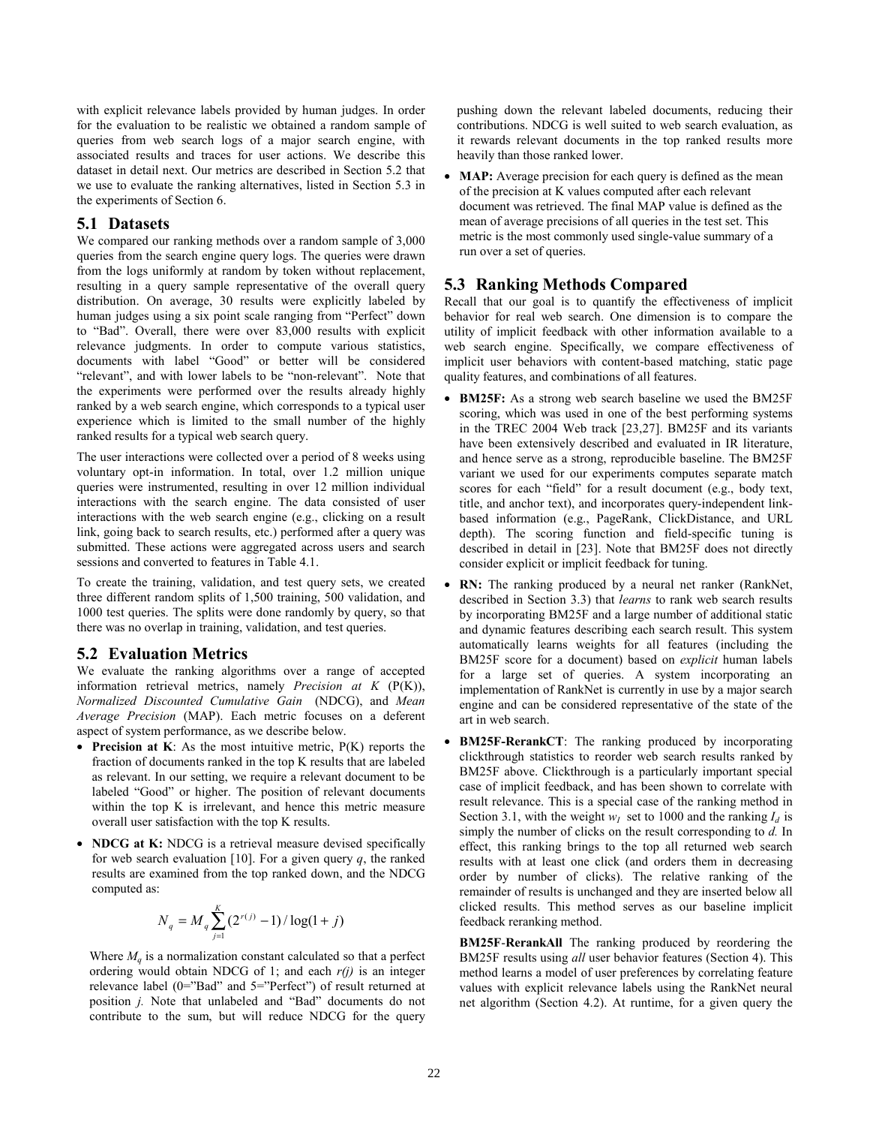with explicit relevance labels provided by human judges. In order for the evaluation to be realistic we obtained a random sample of queries from web search logs of a major search engine, with associated results and traces for user actions. We describe this dataset in detail next. Our metrics are described in Section 5.2 that we use to evaluate the ranking alternatives, listed in Section 5.3 in the experiments of Section 6.

### **5.1 Datasets**

We compared our ranking methods over a random sample of 3,000 queries from the search engine query logs. The queries were drawn from the logs uniformly at random by token without replacement, resulting in a query sample representative of the overall query distribution. On average, 30 results were explicitly labeled by human judges using a six point scale ranging from "Perfect" down to "Bad". Overall, there were over 83,000 results with explicit relevance judgments. In order to compute various statistics, documents with label "Good" or better will be considered "relevant", and with lower labels to be "non-relevant". Note that the experiments were performed over the results already highly ranked by a web search engine, which corresponds to a typical user experience which is limited to the small number of the highly ranked results for a typical web search query.

The user interactions were collected over a period of 8 weeks using voluntary opt-in information. In total, over 1.2 million unique queries were instrumented, resulting in over 12 million individual interactions with the search engine. The data consisted of user interactions with the web search engine (e.g., clicking on a result link, going back to search results, etc.) performed after a query was submitted. These actions were aggregated across users and search sessions and converted to features in Table 4.1.

To create the training, validation, and test query sets, we created three different random splits of 1,500 training, 500 validation, and 1000 test queries. The splits were done randomly by query, so that there was no overlap in training, validation, and test queries.

#### **5.2 Evaluation Metrics**

We evaluate the ranking algorithms over a range of accepted information retrieval metrics, namely *Precision at K* (P(K)), *Normalized Discounted Cumulative Gain* (NDCG), and *Mean Average Precision* (MAP). Each metric focuses on a deferent aspect of system performance, as we describe below.

- **Precision at K**: As the most intuitive metric, P(K) reports the fraction of documents ranked in the top K results that are labeled as relevant. In our setting, we require a relevant document to be labeled "Good" or higher. The position of relevant documents within the top K is irrelevant, and hence this metric measure overall user satisfaction with the top K results.
- **NDCG at K:** NDCG is a retrieval measure devised specifically for web search evaluation  $[10]$ . For a given query  $q$ , the ranked results are examined from the top ranked down, and the NDCG computed as:

$$
N_q = M_q \sum_{j=1}^{K} (2^{r(j)} - 1) / \log(1 + j)
$$

Where  $M_a$  is a normalization constant calculated so that a perfect ordering would obtain NDCG of 1; and each *r(j)* is an integer relevance label (0="Bad" and 5="Perfect") of result returned at position *j.* Note that unlabeled and "Bad" documents do not contribute to the sum, but will reduce NDCG for the query pushing down the relevant labeled documents, reducing their contributions. NDCG is well suited to web search evaluation, as it rewards relevant documents in the top ranked results more heavily than those ranked lower.

• **MAP:** Average precision for each query is defined as the mean of the precision at K values computed after each relevant document was retrieved. The final MAP value is defined as the mean of average precisions of all queries in the test set. This metric is the most commonly used single-value summary of a run over a set of queries.

#### **5.3 Ranking Methods Compared**

Recall that our goal is to quantify the effectiveness of implicit behavior for real web search. One dimension is to compare the utility of implicit feedback with other information available to a web search engine. Specifically, we compare effectiveness of implicit user behaviors with content-based matching, static page quality features, and combinations of all features.

- **BM25F:** As a strong web search baseline we used the BM25F scoring, which was used in one of the best performing systems in the TREC 2004 Web track [23,27]. BM25F and its variants have been extensively described and evaluated in IR literature, and hence serve as a strong, reproducible baseline. The BM25F variant we used for our experiments computes separate match scores for each "field" for a result document (e.g., body text, title, and anchor text), and incorporates query-independent linkbased information (e.g., PageRank, ClickDistance, and URL depth). The scoring function and field-specific tuning is described in detail in [23]. Note that BM25F does not directly consider explicit or implicit feedback for tuning.
- **RN:** The ranking produced by a neural net ranker (RankNet, described in Section 3.3) that *learns* to rank web search results by incorporating BM25F and a large number of additional static and dynamic features describing each search result. This system automatically learns weights for all features (including the BM25F score for a document) based on *explicit* human labels for a large set of queries. A system incorporating an implementation of RankNet is currently in use by a major search engine and can be considered representative of the state of the art in web search.
- **BM25F-RerankCT**: The ranking produced by incorporating clickthrough statistics to reorder web search results ranked by BM25F above. Clickthrough is a particularly important special case of implicit feedback, and has been shown to correlate with result relevance. This is a special case of the ranking method in Section 3.1, with the weight  $w<sub>I</sub>$  set to 1000 and the ranking  $I<sub>d</sub>$  is simply the number of clicks on the result corresponding to *d.* In effect, this ranking brings to the top all returned web search results with at least one click (and orders them in decreasing order by number of clicks). The relative ranking of the remainder of results is unchanged and they are inserted below all clicked results. This method serves as our baseline implicit feedback reranking method.

**BM25F**-**RerankAll** The ranking produced by reordering the BM25F results using *all* user behavior features (Section 4). This method learns a model of user preferences by correlating feature values with explicit relevance labels using the RankNet neural net algorithm (Section 4.2). At runtime, for a given query the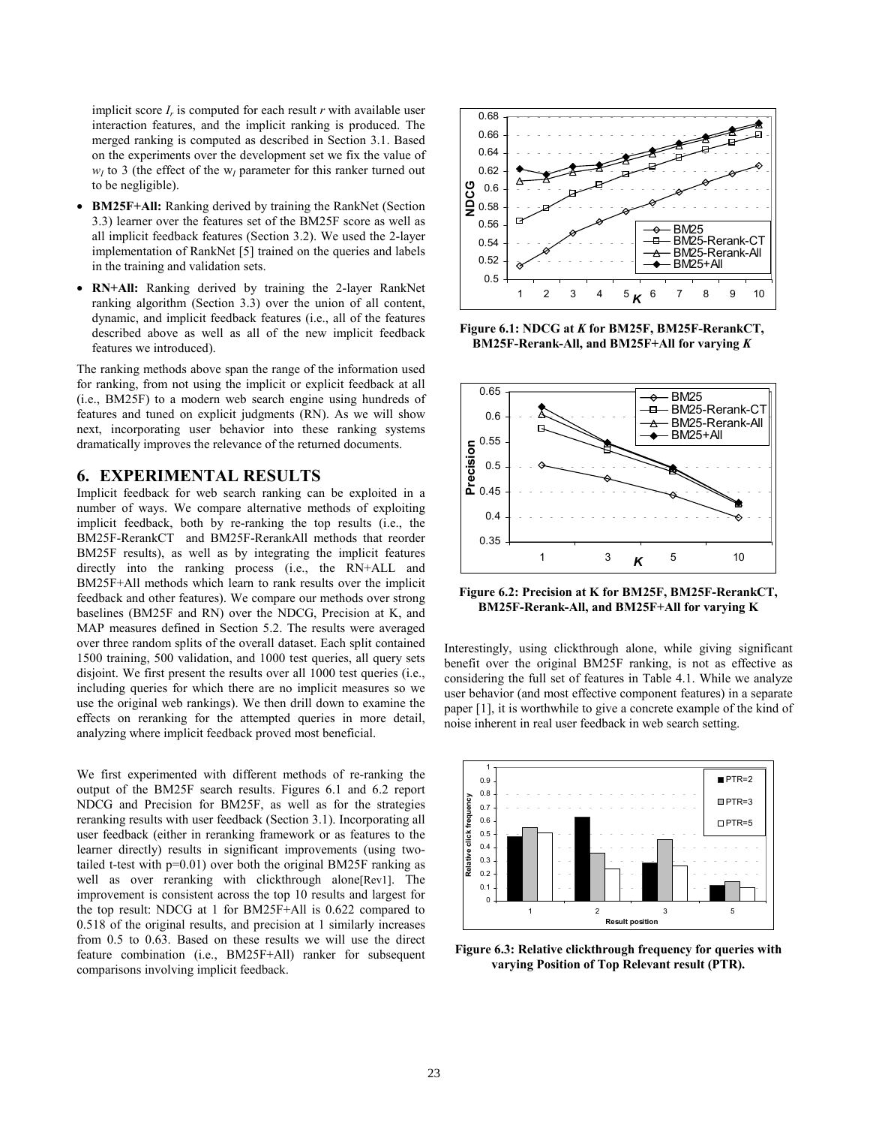implicit score  $I_r$  is computed for each result  $r$  with available user interaction features, and the implicit ranking is produced. The merged ranking is computed as described in Section 3.1. Based on the experiments over the development set we fix the value of  $w_I$  to 3 (the effect of the  $w_I$  parameter for this ranker turned out to be negligible).

- **BM25F+All:** Ranking derived by training the RankNet (Section 3.3) learner over the features set of the BM25F score as well as all implicit feedback features (Section 3.2). We used the 2-layer implementation of RankNet [5] trained on the queries and labels in the training and validation sets.
- **RN+All:** Ranking derived by training the 2-layer RankNet ranking algorithm (Section 3.3) over the union of all content, dynamic, and implicit feedback features (i.e., all of the features described above as well as all of the new implicit feedback features we introduced).

The ranking methods above span the range of the information used for ranking, from not using the implicit or explicit feedback at all (i.e., BM25F) to a modern web search engine using hundreds of features and tuned on explicit judgments (RN). As we will show next, incorporating user behavior into these ranking systems dramatically improves the relevance of the returned documents.

#### **6. EXPERIMENTAL RESULTS**

Implicit feedback for web search ranking can be exploited in a number of ways. We compare alternative methods of exploiting implicit feedback, both by re-ranking the top results (i.e., the BM25F-RerankCT and BM25F-RerankAll methods that reorder BM25F results), as well as by integrating the implicit features directly into the ranking process (i.e., the RN+ALL and BM25F+All methods which learn to rank results over the implicit feedback and other features). We compare our methods over strong baselines (BM25F and RN) over the NDCG, Precision at K, and MAP measures defined in Section 5.2. The results were averaged over three random splits of the overall dataset. Each split contained 1500 training, 500 validation, and 1000 test queries, all query sets disjoint. We first present the results over all 1000 test queries (i.e., including queries for which there are no implicit measures so we use the original web rankings). We then drill down to examine the effects on reranking for the attempted queries in more detail, analyzing where implicit feedback proved most beneficial.

We first experimented with different methods of re-ranking the output of the BM25F search results. Figures 6.1 and 6.2 report NDCG and Precision for BM25F, as well as for the strategies reranking results with user feedback (Section 3.1). Incorporating all user feedback (either in reranking framework or as features to the learner directly) results in significant improvements (using twotailed t-test with p=0.01) over both the original BM25F ranking as well as over reranking with clickthrough alone[Rev1]. The improvement is consistent across the top 10 results and largest for the top result: NDCG at 1 for BM25F+All is 0.622 compared to 0.518 of the original results, and precision at 1 similarly increases from 0.5 to 0.63. Based on these results we will use the direct feature combination (i.e., BM25F+All) ranker for subsequent comparisons involving implicit feedback.



**Figure 6.1: NDCG at** *K* **for BM25F, BM25F-RerankCT, BM25F-Rerank-All, and BM25F+All for varying** *K* 



**Figure 6.2: Precision at K for BM25F, BM25F-RerankCT, BM25F-Rerank-All, and BM25F+All for varying K** 

Interestingly, using clickthrough alone, while giving significant benefit over the original BM25F ranking, is not as effective as considering the full set of features in Table 4.1. While we analyze user behavior (and most effective component features) in a separate paper [1], it is worthwhile to give a concrete example of the kind of noise inherent in real user feedback in web search setting.



**Figure 6.3: Relative clickthrough frequency for queries with varying Position of Top Relevant result (PTR).**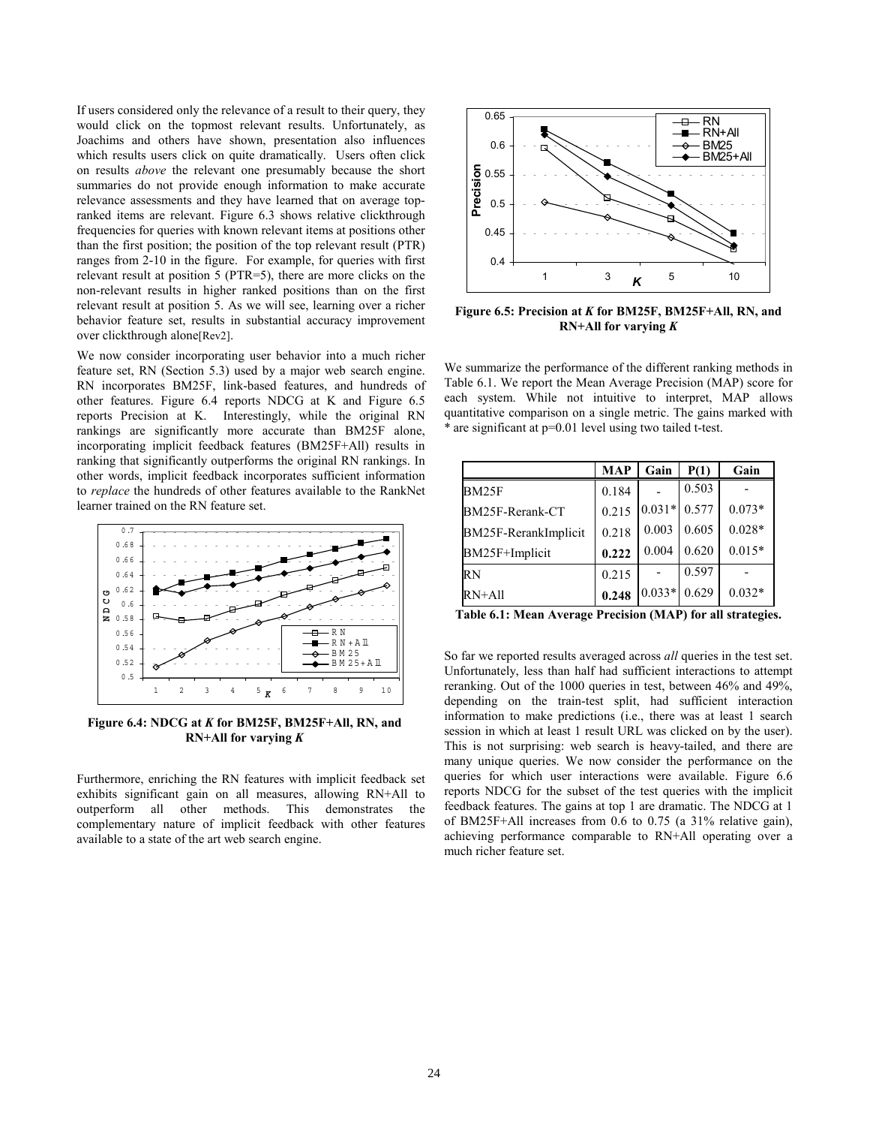If users considered only the relevance of a result to their query, they would click on the topmost relevant results. Unfortunately, as Joachims and others have shown, presentation also influences which results users click on quite dramatically. Users often click on results *above* the relevant one presumably because the short summaries do not provide enough information to make accurate relevance assessments and they have learned that on average topranked items are relevant. Figure 6.3 shows relative clickthrough frequencies for queries with known relevant items at positions other than the first position; the position of the top relevant result (PTR) ranges from 2-10 in the figure. For example, for queries with first relevant result at position 5 (PTR=5), there are more clicks on the non-relevant results in higher ranked positions than on the first relevant result at position 5. As we will see, learning over a richer behavior feature set, results in substantial accuracy improvement over clickthrough alone[Rev2].

We now consider incorporating user behavior into a much richer feature set, RN (Section 5.3) used by a major web search engine. RN incorporates BM25F, link-based features, and hundreds of other features. Figure 6.4 reports NDCG at K and Figure 6.5 reports Precision at K. Interestingly, while the original RN rankings are significantly more accurate than BM25F alone, incorporating implicit feedback features (BM25F+All) results in ranking that significantly outperforms the original RN rankings. In other words, implicit feedback incorporates sufficient information to *replace* the hundreds of other features available to the RankNet learner trained on the RN feature set.



**Figure 6.4: NDCG at** *K* **for BM25F, BM25F+All, RN, and RN+All for varying** *K* 

Furthermore, enriching the RN features with implicit feedback set exhibits significant gain on all measures, allowing RN+All to outperform all other methods. This demonstrates the complementary nature of implicit feedback with other features available to a state of the art web search engine.



**Figure 6.5: Precision at** *K* **for BM25F, BM25F+All, RN, and RN+All for varying** *K* 

We summarize the performance of the different ranking methods in Table 6.1. We report the Mean Average Precision (MAP) score for each system. While not intuitive to interpret, MAP allows quantitative comparison on a single metric. The gains marked with \* are significant at p=0.01 level using two tailed t-test.

|                      | <b>MAP</b> | Gain     | P(1)  | Gain     |
|----------------------|------------|----------|-------|----------|
| BM25F                | 0.184      |          | 0.503 |          |
| BM25F-Rerank-CT      | 0.215      | $0.031*$ | 0.577 | $0.073*$ |
| BM25F-RerankImplicit | 0.218      | 0.003    | 0.605 | $0.028*$ |
| BM25F+Implicit       | 0.222      | 0.004    | 0.620 | $0.015*$ |
| RN                   | 0.215      |          | 0.597 |          |
| RN+All               | 0.248      | $0.033*$ | 0.629 | $0.032*$ |

**Table 6.1: Mean Average Precision (MAP) for all strategies.** 

So far we reported results averaged across *all* queries in the test set. Unfortunately, less than half had sufficient interactions to attempt reranking. Out of the 1000 queries in test, between 46% and 49%, depending on the train-test split, had sufficient interaction information to make predictions (i.e., there was at least 1 search session in which at least 1 result URL was clicked on by the user). This is not surprising: web search is heavy-tailed, and there are many unique queries. We now consider the performance on the queries for which user interactions were available. Figure 6.6 reports NDCG for the subset of the test queries with the implicit feedback features. The gains at top 1 are dramatic. The NDCG at 1 of BM25F+All increases from 0.6 to 0.75 (a 31% relative gain), achieving performance comparable to RN+All operating over a much richer feature set.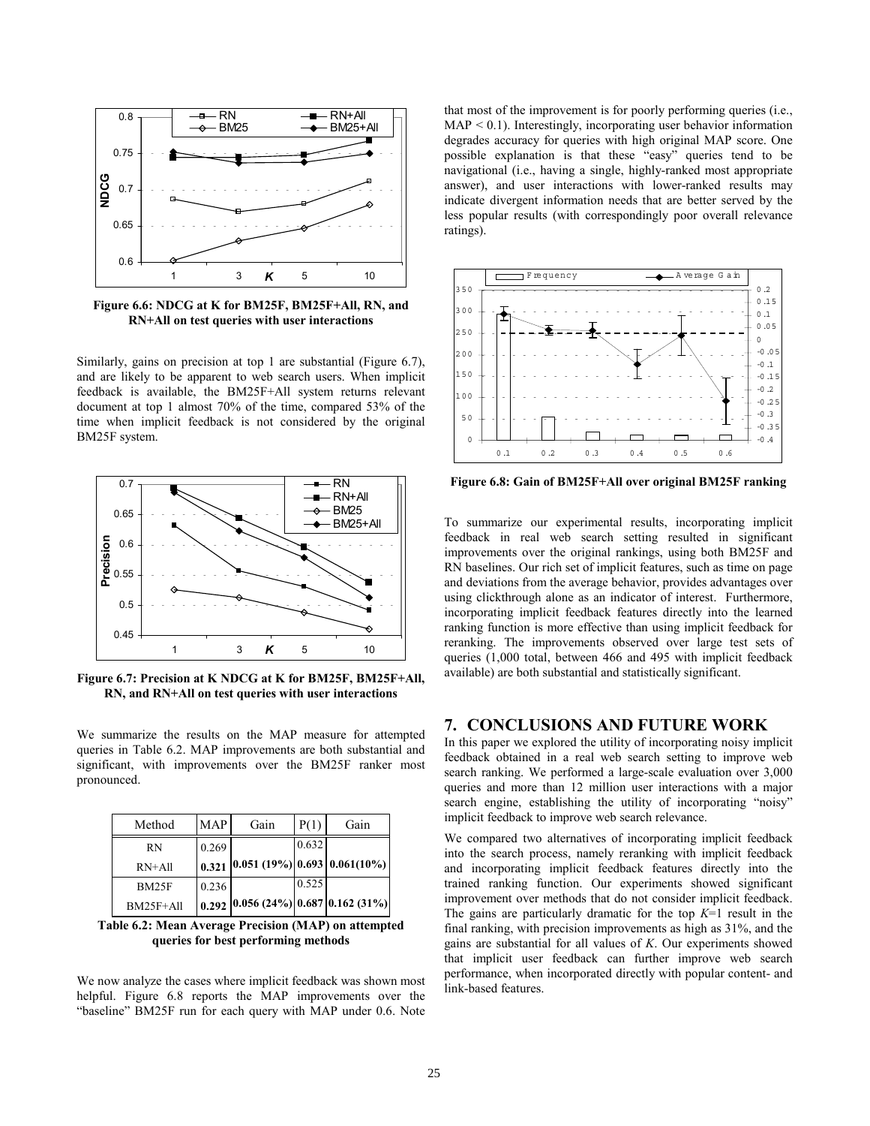

**Figure 6.6: NDCG at K for BM25F, BM25F+All, RN, and RN+All on test queries with user interactions** 

Similarly, gains on precision at top 1 are substantial (Figure 6.7), and are likely to be apparent to web search users. When implicit feedback is available, the BM25F+All system returns relevant document at top 1 almost 70% of the time, compared 53% of the time when implicit feedback is not considered by the original BM25F system.



**Figure 6.7: Precision at K NDCG at K for BM25F, BM25F+All, RN, and RN+All on test queries with user interactions** 

We summarize the results on the MAP measure for attempted queries in Table 6.2. MAP improvements are both substantial and significant, with improvements over the BM25F ranker most pronounced.

| Method       | <b>MAP</b> | Gain                                  | P(1)  | Gain |
|--------------|------------|---------------------------------------|-------|------|
| <b>RN</b>    | 0.269      |                                       | 0.632 |      |
| $RN+All$     |            | $0.321$ 0.051 (19%) 0.693 0.061(10%)  |       |      |
| <b>BM25F</b> | 0.236      |                                       | 0.525 |      |
| $BM25F+All$  |            | $0.292$ 0.056 (24%) 0.687 0.162 (31%) |       |      |

**Table 6.2: Mean Average Precision (MAP) on attempted queries for best performing methods** 

We now analyze the cases where implicit feedback was shown most helpful. Figure 6.8 reports the MAP improvements over the "baseline" BM25F run for each query with MAP under 0.6. Note that most of the improvement is for poorly performing queries (i.e.,  $MAP < 0.1$ ). Interestingly, incorporating user behavior information degrades accuracy for queries with high original MAP score. One possible explanation is that these "easy" queries tend to be navigational (i.e., having a single, highly-ranked most appropriate answer), and user interactions with lower-ranked results may indicate divergent information needs that are better served by the less popular results (with correspondingly poor overall relevance ratings).



**Figure 6.8: Gain of BM25F+All over original BM25F ranking** 

To summarize our experimental results, incorporating implicit feedback in real web search setting resulted in significant improvements over the original rankings, using both BM25F and RN baselines. Our rich set of implicit features, such as time on page and deviations from the average behavior, provides advantages over using clickthrough alone as an indicator of interest. Furthermore, incorporating implicit feedback features directly into the learned ranking function is more effective than using implicit feedback for reranking. The improvements observed over large test sets of queries (1,000 total, between 466 and 495 with implicit feedback available) are both substantial and statistically significant.

# **7. CONCLUSIONS AND FUTURE WORK**

In this paper we explored the utility of incorporating noisy implicit feedback obtained in a real web search setting to improve web search ranking. We performed a large-scale evaluation over 3,000 queries and more than 12 million user interactions with a major search engine, establishing the utility of incorporating "noisy" implicit feedback to improve web search relevance.

We compared two alternatives of incorporating implicit feedback into the search process, namely reranking with implicit feedback and incorporating implicit feedback features directly into the trained ranking function. Our experiments showed significant improvement over methods that do not consider implicit feedback. The gains are particularly dramatic for the top *K*=1 result in the final ranking, with precision improvements as high as 31%, and the gains are substantial for all values of *K*. Our experiments showed that implicit user feedback can further improve web search performance, when incorporated directly with popular content- and link-based features.